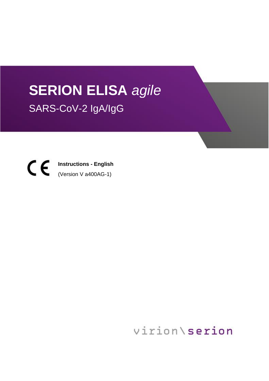# **SERION ELISA** *agile* SARS-CoV-2 IgA/IgG

**Instructions - English** (Version V a400AG-1)

virion\serion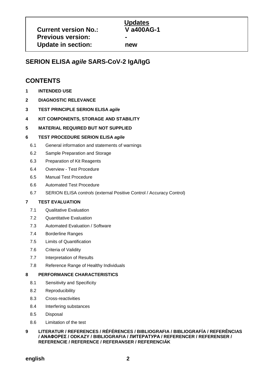## **SERION ELISA** *agile* **SARS-CoV-2 IgA/IgG**

## **CONTENTS**

- **1 INTENDED USE**
- **2 DIAGNOSTIC RELEVANCE**
- **3 TEST PRINCIPLE SERION ELISA** *agile*
- **4 KIT COMPONENTS, STORAGE AND STABILITY**
- **5 MATERIAL REQUIRED BUT NOT SUPPLIED**

#### **6 TEST PROCEDURE SERION ELISA** *agile*

- 6.1 General information and statements of warnings
- 6.2 Sample Preparation and Storage
- 6.3 Preparation of Kit Reagents
- 6.4 Overview Test Procedure
- 6.5 Manual Test Procedure
- 6.6 Automated Test Procedure
- 6.7 SERION ELISA *controls* (external Positive Control / Accuracy Control)

#### **7 TEST EVALUATION**

- 7.1 Qualitative Evaluation
- 7.2 Quantitative Evaluation
- 7.3 Automated Evaluation / Software
- 7.4 Borderline Ranges
- 7.5 Limits of Quantification
- 7.6 Criteria of Validity
- 7.7 Interpretation of Results
- 7.8 Reference Range of Healthy Individuals

#### **8 PERFORMANCE CHARACTERISTICS**

- 8.1 Sensitivity and Specificity
- 8.2 Reproducibility
- 8.3 Cross-reactivities
- 8.4 Interfering substances
- 8.5 Disposal
- 8.6 Limitation of the test

#### **9 LITERATUR / REFERENCES / RÉFÉRENCES / BIBLIOGRAFIA / BIBLIOGRAFÍA / REFERÊNCIAS / ΑΝΑΦΟΡΕΣ / ODKAZY / BIBLIOGRAFIA / ЛИТЕРАТУРА / REFERENCER / REFERENSER / REFERENCIE / REFERENCE / REFERANSER / REFERENCIÁK**

**english 2**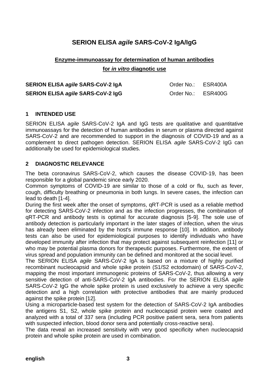## **SERION ELISA** *agile* **SARS-CoV-2 IgA/IgG**

## **Enzyme-immunoassay for determination of human antibodies for** *in vitro* **diagnotic use**

| SERION ELISA agile SARS-CoV-2 IgA        | Order No.: ESR400A |  |
|------------------------------------------|--------------------|--|
| <b>SERION ELISA agile SARS-CoV-2 IgG</b> | Order No.: ESR400G |  |

## **1 INTENDED USE**

SERION ELISA *agile* SARS-CoV-2 IgA and IgG tests are qualitative and quantitative immunoassays for the detection of human antibodies in serum or plasma directed against SARS-CoV-2 and are recommended to support in the diagnosis of COVID-19 and as a complement to direct pathogen detection. SERION ELISA *agile* SARS-CoV-2 IgG can additionally be used for epidemiological studies.

## **2 DIAGNOSTIC RELEVANCE**

The beta coronavirus SARS-CoV-2, which causes the disease COVID-19, has been responsible for a global pandemic since early 2020.

Common symptoms of COVID-19 are similar to those of a cold or flu, such as fever, cough, difficulty breathing or pneumonia in both lungs. In severe cases, the infection can lead to death [1-4].

During the first week after the onset of symptoms, qRT-PCR is used as a reliable method for detecting SARS-CoV-2 infection and as the infection progresses, the combination of qRT-PCR and antibody tests is optimal for accurate diagnosis [5-9]. The sole use of antibody detection is particularly important in the later stages of infection, when the virus has already been eliminated by the host's immune response [10]. In addition, antibody tests can also be used for epidemiological purposes to identify individuals who have developed immunity after infection that may protect against subsequent reinfection [11] or who may be potential plasma donors for therapeutic purposes. Furthermore, the extent of virus spread and population immunity can be defined and monitored at the social level.

The SERION ELISA *agile* SARS-CoV-2 IgA is based on a mixture of highly purified recombinant nucleocapsid and whole spike protein (S1/S2 ectodomain) of SARS-CoV-2, mapping the most important immunogenic proteins of SARS-CoV-2, thus allowing a very sensitive detection of anti-SARS-CoV-2 IgA antibodies. For the SERION ELISA *agile* SARS-CoV-2 IgG the whole spike protein is used exclusively to achieve a very specific detection and a high correlation with protective antibodies that are mainly produced against the spike protein [12].

Using a microparticle-based test system for the detection of SARS-CoV-2 IgA antibodies the antigens S1, S2, whole spike protein and nucleocapsid protein were coated and analyzed with a total of 337 sera (including PCR positive patient sera, sera from patients with suspected infection, blood donor sera and potentially cross-reactive sera).

The data reveal an increased sensitivity with very good specificity when nucleocapsid protein and whole spike protein are used in combination.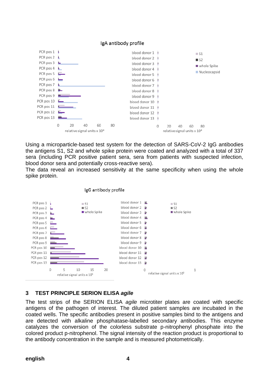

Using a microparticle-based test system for the detection of SARS-CoV-2 IgG antibodies the antigens S1, S2 and whole spike protein were coated and analyzed with a total of 337 sera (including PCR positive patient sera, sera from patients with suspected infection, blood donor sera and potentially cross-reactive sera).

The data reveal an increased sensitivity at the same specificity when using the whole spike protein.



#### IgG antibody profile

## **3 TEST PRINCIPLE SERION ELISA** *agile*

The test strips of the SERION ELISA *agile* microtiter plates are coated with specific antigens of the pathogen of interest. The diluted patient samples are incubated in the coated wells. The specific antibodies present in positive samples bind to the antigens and are detected with alkaline phosphatase-labelled secondary antibodies. This enzyme catalyzes the conversion of the colorless substrate p-nitrophenyl phosphate into the colored product p-nitrophenol. The signal intensity of the reaction product is proportional to the antibody concentration in the sample and is measured photometrically.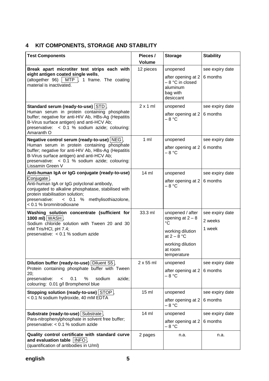## **4 KIT COMPONENTS, STORAGE AND STABILITY**

| <b>Test Components</b>                                                                                                                                                                                                                                                                             | Pieces /<br><b>Volume</b> | <b>Storage</b>                                                                                                                           | <b>Stability</b>                     |
|----------------------------------------------------------------------------------------------------------------------------------------------------------------------------------------------------------------------------------------------------------------------------------------------------|---------------------------|------------------------------------------------------------------------------------------------------------------------------------------|--------------------------------------|
| Break apart microtiter test strips each with<br>eight antigen coated single wells,<br>(altogether 96)   MTP $\vert$ , 1 frame. The coating<br>material is inactivated.                                                                                                                             | 12 pieces                 | unopened<br>after opening at 2<br>- 8 °C in closed<br>aluminum<br>bag with<br>desiccant                                                  | see expiry date<br>6 months          |
| Standard serum (ready-to-use) STD<br>Human serum in protein containing phosphate<br>buffer; negative for anti-HIV Ab, HBs-Ag (Hepatitis<br>B-Virus surface antigen) and anti-HCV Ab;<br>preservative: < 0.1 % sodium azide; colouring:<br>Amaranth O                                               | $2 \times 1$ ml           | unopened<br>after opening at 2<br>$-8 °C$                                                                                                | see expiry date<br>6 months          |
| Negative control serum (ready-to-use)   NEG  ,<br>Human serum in protein containing phosphate<br>buffer; negative for anti-HIV Ab, HBs-Ag (Hepatitis<br>B-Virus surface antigen) and anti-HCV Ab;<br>preservative: < 0.1 % sodium azide; colouring:<br>Lissamin Green V                            | $1 \text{ ml}$            | unopened<br>after opening at 2<br>$-8 °C$                                                                                                | see expiry date<br>6 months          |
| Anti-human IgA or IgG conjugate (ready-to-use)<br>Conjugate <sup>l</sup> ,<br>Anti-human IgA or IgG polyclonal antibody,<br>conjugated to alkaline phosphatase, stabilised with<br>protein stabilisation solution;<br>methylisothiazolone,<br>preservative:<br>< 0.1 %<br>< 0.1 % bromnitrodioxane | $14 \text{ ml}$           | unopened<br>after opening at 2<br>– 8 °C                                                                                                 | see expiry date<br>6 months          |
| Washing solution concentrate (sufficient for<br>1000 ml) $WASH$ ,<br>Sodium chloride solution with Tween 20 and 30<br>mM Tris/HCl, pH 7.4;<br>preservative: < 0.1 % sodium azide                                                                                                                   | 33.3 ml                   | unopened / after<br>opening at $2 - 8$<br>$^{\circ}C$<br>working dilution<br>at $2 - 8$ °C<br>working dilution<br>at room<br>temperature | see expiry date<br>2 weeks<br>1 week |
| Dilution buffer (ready-to-use) Diluent S5,<br>Protein containing phosphate buffer with Tween<br>20;<br>preservative:<br>$\%$<br>sodium<br>azide;<br>0.1<br>$\,<\,$<br>colouring: 0.01 g/l Bromphenol blue                                                                                          | $2 \times 55$ ml          | unopened<br>after opening at 2<br>$-8 °C$                                                                                                | see expiry date<br>6 months          |
| Stopping solution (ready-to-use) STOP,<br>< 0.1 N sodium hydroxide, 40 mM EDTA                                                                                                                                                                                                                     | $15$ ml                   | unopened<br>after opening at 2<br>– 8 °C                                                                                                 | see expiry date<br>6 months          |
| Substrate (ready-to-use) Substrate<br>Para-nitrophenylphosphate in solvent free buffer;<br>preservative: < 0.1 % sodium azide                                                                                                                                                                      | $14$ ml                   | unopened<br>after opening at 2<br>– 8 °C                                                                                                 | see expiry date<br>6 months          |
| Quality control certificate with standard curve<br>and evaluation table   INFO .<br>(quantification of antibodies in U/ml)                                                                                                                                                                         | 2 pages                   | n.a.                                                                                                                                     | n.a.                                 |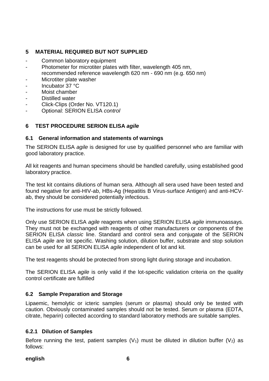## **5 MATERIAL REQUIRED BUT NOT SUPPLIED**

- Common laboratory equipment
- Photometer for microtiter plates with filter, wavelength 405 nm, recommended reference wavelength 620 nm - 690 nm (e.g. 650 nm)
- Microtiter plate washer
- Incubator 37 °C
- Moist chamber
- Distilled water
- Click-Clips (Order No. VT120.1)
- Optional: SERION ELISA *control*

## **6 TEST PROCEDURE SERION ELISA** *agile*

## **6.1 General information and statements of warnings**

The SERION ELISA *agile* is designed for use by qualified personnel who are familiar with good laboratory practice.

All kit reagents and human specimens should be handled carefully, using established good laboratory practice.

The test kit contains dilutions of human sera. Although all sera used have been tested and found negative for anti-HIV-ab, HBs-Ag (Hepatitis B Virus-surface Antigen) and anti-HCVab, they should be considered potentially infectious.

The instructions for use must be strictly followed.

Only use SERION ELISA *agile* reagents when using SERION ELISA *agile* immunoassays. They must not be exchanged with reagents of other manufacturers or components of the SERION ELISA *classic* line. Standard and control sera and conjugate of the SERION ELISA *agile* are lot specific. Washing solution, dilution buffer, substrate and stop solution can be used for all SERION ELISA *agile* independent of lot and kit.

The test reagents should be protected from strong light during storage and incubation.

The SERION ELISA *agile* is only valid if the lot-specific validation criteria on the quality control certificate are fulfilled

## **6.2 Sample Preparation and Storage**

Lipaemic, hemolytic or icteric samples (serum or plasma) should only be tested with caution. Obviously contaminated samples should not be tested. Serum or plasma (EDTA, citrate, heparin) collected according to standard laboratory methods are suitable samples.

#### **6.2.1 Dilution of Samples**

Before running the test, patient samples  $(V_1)$  must be diluted in dilution buffer  $(V_2)$  as follows:

#### **english 6**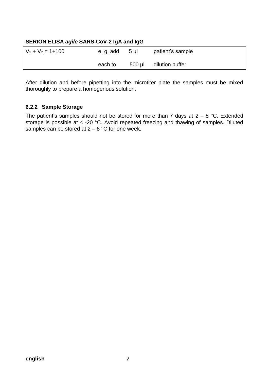## **SERION ELISA** *agile* **SARS-CoV-2 IgA and IgG**

| $V_1 + V_2 = 1 + 100$ | e.g. add | $5 \mu$ | patient's sample |
|-----------------------|----------|---------|------------------|
|                       | each to  | 500 µl  | dilution buffer  |

After dilution and before pipetting into the microtiter plate the samples must be mixed thoroughly to prepare a homogenous solution.

## **6.2.2 Sample Storage**

The patient's samples should not be stored for more than 7 days at  $2 - 8$  °C. Extended storage is possible at  $\leq$  -20 °C. Avoid repeated freezing and thawing of samples. Diluted samples can be stored at  $2 - 8$  °C for one week.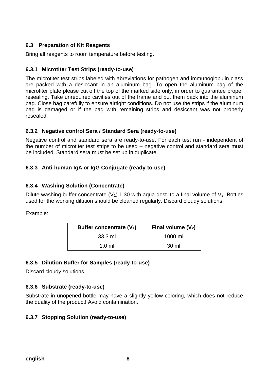## **6.3 Preparation of Kit Reagents**

Bring all reagents to room temperature before testing.

## **6.3.1 Microtiter Test Strips (ready-to-use)**

The microtiter test strips labeled with abreviations for pathogen and immunoglobulin class are packed with a desiccant in an aluminum bag. To open the aluminum bag of the microtiter plate please cut off the top of the marked side only, in order to guarantee proper resealing. Take unrequired cavities out of the frame and put them back into the aluminum bag. Close bag carefully to ensure airtight conditions. Do not use the strips if the aluminum bag is damaged or if the bag with remaining strips and desiccant was not properly resealed.

## **6.3.2 Negative control Sera / Standard Sera (ready-to-use)**

Negative control and standard sera are ready-to-use. For each test run - independent of the number of microtiter test strips to be used – negative control and standard sera must be included. Standard sera must be set up in duplicate.

## **6.3.3 Anti-human IgA or IgG Conjugate (ready-to-use)**

## **6.3.4 Washing Solution (Concentrate)**

Dilute washing buffer concentrate  $(V_1)$  1:30 with aqua dest. to a final volume of  $V_2$ . Bottles used for the working dilution should be cleaned regularly. Discard cloudy solutions.

Example:

| Buffer concentrate (V <sub>1</sub> ) | Final volume $(V_2)$ |
|--------------------------------------|----------------------|
| $33.3$ ml                            | 1000 ml              |
| $1.0 \text{ ml}$                     | 30 ml                |

## **6.3.5 Dilution Buffer for Samples (ready-to-use)**

Discard cloudy solutions.

## **6.3.6 Substrate (ready-to-use)**

Substrate in unopened bottle may have a slightly yellow coloring, which does not reduce the quality of the product! Avoid contamination.

## **6.3.7 Stopping Solution (ready-to-use)**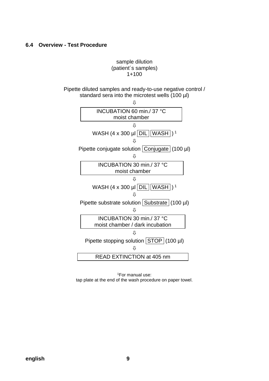## **6.4 Overview - Test Procedure**

## sample dilution (patient´s samples) 1+100

Pipette diluted samples and ready-to-use negative control / standard sera into the microtest wells (100 µl)



<sup>1</sup>For manual use: tap plate at the end of the wash procedure on paper towel.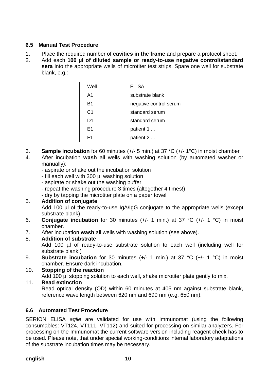## **6.5 Manual Test Procedure**

- 1. Place the required number of **cavities in the frame** and prepare a protocol sheet.
- 2. Add each **100 µl of diluted sample or ready-to-use negative control/standard sera** into the appropriate wells of microtiter test strips. Spare one well for substrate blank, e.g.:

| Well           | <b>ELISA</b>           |
|----------------|------------------------|
| A1             | substrate blank        |
| B1             | negative control serum |
| C <sub>1</sub> | standard serum         |
| D1             | standard serum         |
| F1             | patient 1              |
| F1             | patient 2              |

- 3. **Sample incubation** for 60 minutes (+/- 5 min.) at 37 °C (+/- 1°C) in moist chamber
- 4. After incubation **wash** all wells with washing solution (by automated washer or manually):
	- aspirate or shake out the incubation solution
	- fill each well with 300 µl washing solution
	- aspirate or shake out the washing buffer
	- repeat the washing procedure 3 times (altogether 4 times!)
	- dry by tapping the microtiter plate on a paper towel

## 5. **Addition of conjugate**

Add 100 µl of the ready-to-use IgA/IgG conjugate to the appropriate wells (except substrate blank)

- 6. **Conjugate incubation** for 30 minutes (+/- 1 min.) at 37 °C (+/- 1 °C) in moist chamber.
- 7. After incubation **wash** all wells with washing solution (see above).

## 8. **Addition of substrate**

Add 100 µl of ready-to-use substrate solution to each well (including well for substrate blank!)

- 9. **Substrate incubation** for 30 minutes (+/- 1 min.) at 37 °C (+/- 1 °C) in moist chamber. Ensure dark incubation.
- 10. **Stopping of the reaction**

Add 100 µl stopping solution to each well, shake microtiter plate gently to mix.

## 11. **Read extinction**

Read optical density (OD) within 60 minutes at 405 nm against substrate blank, reference wave length between 620 nm and 690 nm (e.g. 650 nm).

## **6.6 Automated Test Procedure**

SERION ELISA *agile* are validated for use with Immunomat (using the following consumables: VT124, VT111, VT112) and suited for processing on similar analyzers. For processing on the Immunomat the current software version including reagent check has to be used. Please note, that under special working-conditions internal laboratory adaptations of the substrate incubation times may be necessary.

#### **english 10**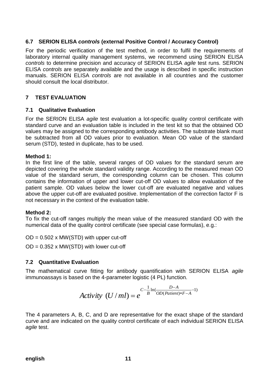## **6.7 SERION ELISA** *controls* **(external Positive Control / Accuracy Control)**

For the periodic verification of the test method, in order to fulfil the requirements of laboratory internal quality management systems, we recommend using SERION ELISA *controls* to determine precision and accuracy of SERION ELISA *agile* test runs. SERION ELISA *controls* are separately available and the usage is described in specific instruction manuals. SERION ELISA *controls* are not available in all countries and the customer should consult the local distributor.

## **7 TEST EVALUATION**

## **7.1 Qualitative Evaluation**

For the SERION ELISA *agile* test evaluation a lot-specific quality control certificate with standard curve and an evaluation table is included in the test kit so that the obtained OD values may be assigned to the corresponding antibody activities. The substrate blank must be subtracted from all OD values prior to evaluation. Mean OD value of the standard serum (STD), tested in duplicate, has to be used.

#### **Method 1:**

In the first line of the table, several ranges of OD values for the standard serum are depicted covering the whole standard validity range. According to the measured mean OD value of the standard serum, the corresponding column can be chosen. This column contains the information of upper and lower cut-off OD values to allow evaluation of the patient sample. OD values below the lower cut-off are evaluated negative and values above the upper cut-off are evaluated positive. Implementation of the correction factor F is not necessary in the context of the evaluation table.

#### **Method 2:**

To fix the cut-off ranges multiply the mean value of the measured standard OD with the numerical data of the quality control certificate (see special case formulas), e.g.:

 $OD = 0.502 \times MW(STD)$  with upper cut-off  $OD = 0.352 \times MW(STD)$  with lower cut-off

## **7.2 Quantitative Evaluation**

The mathematical curve fitting for antibody quantification with SERION ELISA *agile* immunoassays is based on the 4-parameter logistic (4 PL) function.

Activity 
$$
(U/ml) = e^{C - \frac{1}{B} \ln(\frac{D-A}{OD(Patient)*F-A}-1)}
$$

The 4 parameters A, B, C, and D are representative for the exact shape of the standard curve and are indicated on the quality control certificate of each individual SERION ELISA *agile* test.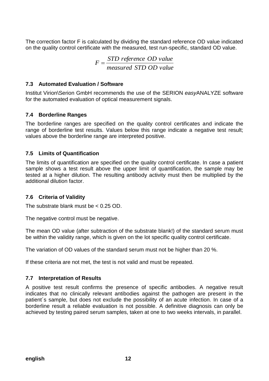The correction factor F is calculated by dividing the standard reference OD value indicated on the quality control certificate with the measured, test run-specific, standard OD value.

$$
F = \frac{STD \ reference \ OD \ value}{measured \ STD \ OD \ value}
$$

## **7.3 Automated Evaluation / Software**

Institut Virion\Serion GmbH recommends the use of the SERION *easy*ANALYZE software for the automated evaluation of optical measurement signals.

## **7.4 Borderline Ranges**

The borderline ranges are specified on the quality control certificates and indicate the range of borderline test results. Values below this range indicate a negative test result; values above the borderline range are interpreted positive.

## **7.5 Limits of Quantification**

The limits of quantification are specified on the quality control certificate. In case a patient sample shows a test result above the upper limit of quantification, the sample may be tested at a higher dilution. The resulting antibody activity must then be multiplied by the additional dilution factor.

## **7.6 Criteria of Validity**

The substrate blank must be < 0.25 OD.

The negative control must be negative.

The mean OD value (after subtraction of the substrate blank!) of the standard serum must be within the validity range, which is given on the lot specific quality control certificate.

The variation of OD values of the standard serum must not be higher than 20 %.

If these criteria are not met, the test is not valid and must be repeated.

## **7.7 Interpretation of Results**

A positive test result confirms the presence of specific antibodies. A negative result indicates that no clinically relevant antibodies against the pathogen are present in the patient´s sample, but does not exclude the possibility of an acute infection. In case of a borderline result a reliable evaluation is not possible. A definitive diagnosis can only be achieved by testing paired serum samples, taken at one to two weeks intervals, in parallel.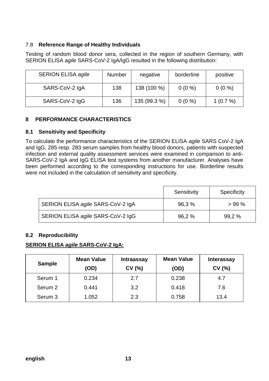## 7.8 **Reference Range of Healthy Individuals**

Testing of random blood donor sera, collected in the region of southern Germany, with SERION ELISA *agile* SARS-CoV-2 IgA/IgG resulted in the following distribution:

| <b>SERION ELISA agile</b> | <b>Number</b> | negative     | borderline | positive     |
|---------------------------|---------------|--------------|------------|--------------|
| SARS-CoV-2 IgA            | 138           | 138 (100 %)  | $0(0\%)$   | $0(0\%)$     |
| SARS-CoV-2 IgG            | 136           | 135 (99.3 %) | $0(0\%)$   | 1 $(0.7\% )$ |

## **8 PERFORMANCE CHARACTERISTICS**

## **8.1 Sensitivity and Specificity**

To calculate the performance characteristics of the SERION ELISA *agile* SARS CoV-2 IgA and IgG, 285 resp. 283 serum samples from healthy blood donors, patients with suspected infection and external quality assessment services were examined in comparison to anti-SARS-CoV-2 IgA and IgG ELISA test systems from another manufacturer. Analyses have been performed according to the corresponding instructions for use. Borderline results were not included in the calculation of sensitivity and specificity.

|                                   | Sensitivity | Specificity |
|-----------------------------------|-------------|-------------|
| SERION ELISA agile SARS-CoV-2 IgA | 96,3%       | $>99\%$     |
| SERION ELISA agile SARS-CoV-2 IgG | 96,2%       | 99,2 %      |

## **8.2 Reproducibility**

## **SERION ELISA** *agile* **SARS-CoV-2 IgA:**

| <b>Sample</b>      | <b>Mean Value</b><br>(OD) | <b>Intraassay</b><br>CV(%) | <b>Mean Value</b><br>(OD) | <b>Interassay</b><br>CV (%) |
|--------------------|---------------------------|----------------------------|---------------------------|-----------------------------|
| Serum 1            | 0.234                     | 2.7                        | 0.238                     | 4.7                         |
| Serum <sub>2</sub> | 0.441                     | 3.2                        | 0.418                     | 7.6                         |
| Serum 3            | 1.052                     | 2.3                        | 0.758                     | 13.4                        |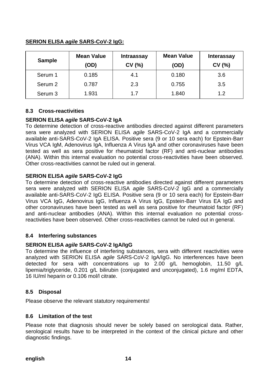#### **Sample Mean Value (OD) Intraassay CV (%) Mean Value (OD) Interassay CV (%)** Serum 1 | 0.185 | 4.1 | 0.180 | 3.6 Serum 2 | 0.787 | 2.3 | 0.755 | 3.5 Serum 3 1.931 1.7 1.840 1.2

## **SERION ELISA** *agile* **SARS-CoV-2 IgG:**

## **8.3 Cross-reactivities**

## **SERION ELISA** *agile* **SARS-CoV-2 IgA**

To determine detection of cross-reactive antibodies directed against different parameters sera were analyzed with SERION ELISA *agile* SARS-CoV-2 IgA and a commercially available anti-SARS-CoV-2 IgA ELISA. Positive sera (9 or 10 sera each) for Epstein-Barr Virus VCA IgM, Adenovirus IgA, Influenza A Virus IgA and other coronaviruses have been tested as well as sera positive for rheumatoid factor (RF) and anti-nuclear antibodies (ANA). Within this internal evaluation no potential cross-reactivities have been observed. Other cross-reactivities cannot be ruled out in general.

## **SERION ELISA** *agile* **SARS-CoV-2 IgG**

To determine detection of cross-reactive antibodies directed against different parameters sera were analyzed with SERION ELISA *agile* SARS-CoV-2 IgG and a commercially available anti-SARS-CoV-2 IgG ELISA. Positive sera (9 or 10 sera each) for Epstein-Barr Virus VCA IgG, Adenovirus IgG, Influenza A Virus IgG, Epstein-Barr Virus EA IgG and other coronaviruses have been tested as well as sera positive for rheumatoid factor (RF) and anti-nuclear antibodies (ANA). Within this internal evaluation no potential crossreactivities have been observed. Other cross-reactivities cannot be ruled out in general.

## **8.4 Interfering substances**

## **SERION ELISA** *agile* **SARS-CoV-2 IgA/IgG**

To determine the influence of interfering substances, sera with different reactivities were analyzed with SERION ELISA *agile* SARS-CoV-2 IgA/IgG. No interferences have been detected for sera with concentrations up to 2.00 g/L hemoglobin, 11.50 g/L lipemia/triglyceride, 0.201 g/L bilirubin (conjugated and unconjugated), 1.6 mg/ml EDTA, 16 IU/ml heparin or 0.106 mol/l citrate.

## **8.5 Disposal**

Please observe the relevant statutory requirements!

## **8.6 Limitation of the test**

Please note that diagnosis should never be solely based on serological data. Rather, serological results have to be interpreted in the context of the clinical picture and other diagnostic findings. Pos: 48 /Ar bei tsanl eitung ELISA agile/Organisatorisches/SAR S-CoV-2: Liter atur @ 20\mod\_1594733283382\_0.doc @ 76520 @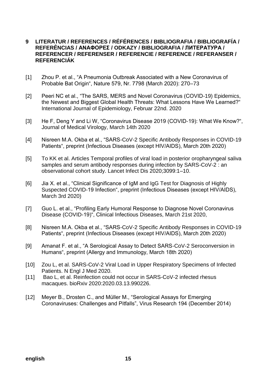## **9 LITERATUR / REFERENCES / RÉFÉRENCES / BIBLIOGRAFIA / BIBLIOGRAFÍA / REFERÊNCIAS / ΑΝΑΦΟΡΕΣ / ODKAZY / BIBLIOGRAFIA / ЛИТЕРАТУРА / REFERENCER / REFERENSER / REFERENCIE / REFERENCE / REFERANSER / REFERENCIÁK**

- [1] Zhou P. et al., "A Pneumonia Outbreak Associated with a New Coronavirus of Probable Bat Origin", Nature 579, Nr. 7798 (March 2020): 270–73
- [2] Peeri NC et al., "The SARS, MERS and Novel Coronavirus (COVID-19) Epidemics, the Newest and Biggest Global Health Threats: What Lessons Have We Learned?" International Journal of Epidemiology, Februar 22nd. 2020
- [3] He F, Deng Y and Li W, "Coronavirus Disease 2019 (COVID-19): What We Know?", Journal of Medical Virology, March 14th 2020
- [4] Nisreen M.A. Okba et al., "SARS-CoV-2 Specific Antibody Responses in COVID-19 Patients", preprint (Infectious Diseases (except HIV/AIDS), March 20th 2020)
- [5] To KK et al. Articles Temporal profiles of viral load in posterior oropharyngeal saliva samples and serum antibody responses during infection by SARS-CoV-2 : an observational cohort study. Lancet Infect Dis 2020;3099:1–10.
- [6] Jia X. et al., "Clinical Significance of IgM and IgG Test for Diagnosis of Highly Suspected COVID-19 Infection", preprint (Infectious Diseases (except HIV/AIDS), March 3rd 2020)
- [7] Guo L. et al., "Profiling Early Humoral Response to Diagnose Novel Coronavirus Disease (COVID-19)", Clinical Infectious Diseases, March 21st 2020,
- [8] Nisreen M.A. Okba et al., "SARS-CoV-2 Specific Antibody Responses in COVID-19 Patients", preprint (Infectious Diseases (except HIV/AIDS), March 20th 2020)
- [9] Amanat F. et al., "A Serological Assay to Detect SARS-CoV-2 Seroconversion in Humans", preprint (Allergy and Immunology, March 18th 2020)
- [10] Zou L, et al. SARS-CoV-2 Viral Load in Upper Respiratory Specimens of Infected Patients. N Engl J Med 2020.
- [11] Bao L, et al. Reinfection could not occur in SARS-CoV-2 infected rhesus macaques. bioRxiv 2020:2020.03.13.990226.
- [12] Meyer B., Drosten C., and Müller M., "Serological Assays for Emerging Coronaviruses: Challenges and Pitfalls", Virus Research 194 (December 2014)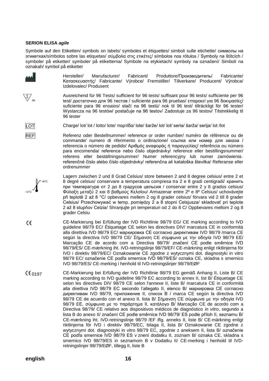#### **SERION ELISA** *agile*

 $-$ +8°C

+2°C

 $\overline{\Sigma}/$ 

Symbole auf den Etiketten/ symbols on labels/ symboles et étiquettes/ simboli sulle etichette/ символы на этикетках/símbolos sobre las etiquetas/ σύμβολα στις ετικέτες/ símbolos nos rótulos / Symboly na štítcích / symboler på etiketter/ symboler på etiketterna/ Symbole na etykietach/ symboly na označení/ Simboli na oznakah/ symbol på etiketter

| AAA                         | Fabricant/ Produttore/Производитель/<br>Fabricante/<br>Hersteller/<br>Manufacturer/<br>Výrobce/ Fremstiller/ Tillverkare/ Producent/ Výrobca/<br>Κατασκευαστής/ Fabricante/<br>Izdelovalec/ Produsent                                                                                                                                                                                                                                                                                                                                       |
|-----------------------------|---------------------------------------------------------------------------------------------------------------------------------------------------------------------------------------------------------------------------------------------------------------------------------------------------------------------------------------------------------------------------------------------------------------------------------------------------------------------------------------------------------------------------------------------|
| $\overline{\mathcal{Z}}$ 96 | Ausreichend für 96 Tests/ sufficient for 96 tests/ suffisant pour 96 tests/ sufficiente per 96<br>test/ достаточно для 96 тестов / suficiente para 96 pruebas/ επαρεκεί για 96 δοκιμασίες/<br>suficiente para 96 ensaios/ stačí na 96 testů/ nok til 96 test/ tillräckligt för 96 tester/<br>Wystarcza na 96 testów/ postačuje na 96 testov/ Zadostuje za 96 testov/ Tilstrekkelig til<br>96 tester                                                                                                                                         |
| <u>LOT</u>                  | Charge/ lot/ lot / lotto/ lote/ παρτίδα/ lote/ šarže/ lot/ lot/ seria/ šarža/ serija/ lot /lot                                                                                                                                                                                                                                                                                                                                                                                                                                              |
| <b>REF</b>                  | Referenz oder Bestellnummer/ reference or order number/ numéro de référence ou de<br>commande/ numero di riferimento o ordinazione/ ссылка или номер для заказа /<br>referencia o número de pedido/ Αριθμός αναφοράς ή παραγγελίας/ referência ou número<br>para encomenda/ reference nebo číslo objednávky/ reference eller bestillingsnummer/<br>referens eller beställningsnummer/ Numer referencyjny lub numer zamówienia<br>referenčné číslo alebo číslo objednávky/ referenčna ali kataloška številka/ Referanse eller<br>ordrenummer |

Lagern zwischen 2 und 8 Grad Celsius/ store between 2 and 8 degree celsius/ entre 2 et 8 degré celsius/ conservare a temperatura compresa tra 2 e 8 gradi centigradi/ хранить при температуре от 2 до 8 градусов цельсия / conservar entre 2 y 8 grados celsius/ Φύλαξη μεταξύ 2 και 8 βαθμούς Κελσίου/ Armazenar entre 2º e 8º Celsius/ uchovávejte při teplotě 2 až 8 °C/ opbevares mellem 2 og 8 grader celsius/ förvara vid 2 till 8 grader Celsius/ Przechowywać w temp. pomiędzy 2 a 8 stopni Celsjusza/ skladovať pri teplote 2 až 8 stupňov Celzia/ Shranjujte pri temperaturi od 2 do 8 C/ Oppbevares mellom 2 og 8 grader Celsiu

- CE-Markierung bei Erfüllung der IVD Richtlinie 98/79 EG/ CE marking according to IVD  $\epsilon$ guideline 98/79 EC/ Étiquetage CE selon les directives DIV/ marcatura CE in conformità alla direttiva IVD 98/79 EC/ маркировка СЕ согласно директивам IVD 98/79 /marca CE según la directiva IVD 98/79 CE/ Σήμανση CE σύμφωνα με την οδηγία IVD 98/79 EΕ/ Marcação CE de acordo com a Directiva 98/79/ značení CE podle směrnice IVD 98/79/ES/ CE-mærkning iht. IVD-retningslinje 98/79/EF/ CE-märkning enligt riktlinjerna för IVD i direktiv 98/79/EC/ Oznakowanie CE zgodne z wytycznymi dot. diagnostyki in vitro 98/79 EC/ označenie CE podľa smernice IVD 98/79/ES/ oznaka CE, skladna s smernico IVD 98/79/ES/ CE-merking i henhold til IVD-retningslinjer 98/79/EØF
- 0197 CE-Markierung bei Erfüllung der IVD Richtlinie 98/79 EG gemäß Anhang II, Liste B/ CE marking according to IVD guideline 98/79 EC according to annex II, list B/ Étiquetage CE selon les directives DIV 98/79 CE selon l'annexe II, liste B/ marcatura CE in conformità alla direttiva IVD 98/79 EC secondo l'allegato II, elenco B/ маркировка СЕ согласно директивам IVD 98/79, приложение II, список В / marca CE según la directiva IVD 98/79 CE de acuerdo con el anexo II, lista B/ Σήμανση CE σύμφωνα με την οδηγία IVD 98/79 EΕ, σύμφωνα με το παράρτημα ΙΙ, κατάλογο Β/ Marcação CE de acordo com a Directiva 98/79/ CE relativo aos dispositivos médicos de diagnóstico *in vitro*, segundo a lista B do anexo II/ značení CE podle směrnice IVD 98/79/ ES podle příloh II, seznamu B/ CE-mærkning iht. IVD-retningslinje 98/79 /EF iflg. anneks II, liste B/ CE-märkning enligt riktlinjerna för IVD i direktiv 98/79/EC, bilaga II, lista B/ Oznakowanie CE zgodne z wytycznymi dot. diagnostyki in vitro 98/79 EC, zgodnie z aneksem II, lista B/ označenie CE podľa smernice IVD 98/79 ES v znení dodatku II, zoznam B/ oznaka CE, skladna s smernico IVD 98/79/ES in seznamom B v Dodatku II/ CE-merking i henhold til IVDretningslinjer 98/79/EØF, tillegg II, liste B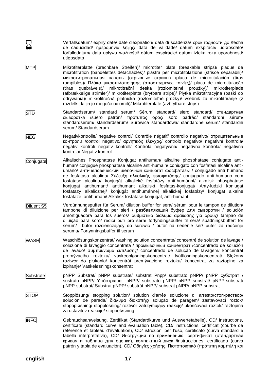Verfallsdatum/ expiry date/ date d'expiration/ data di scadenza/ срок годности до /fecha de caducidad/ ημερομηνία λήξης/ data de validade/ datum exspirace/ udløbsdato/ förfallodatum/ data upływu ważności/ dátum exspirácie/ datum izteka roka uporabnosti/ utløpsdatp

- MTP Mikrotiterplatte (brechbare Streifen)/ microtiter plate (breakable strips)/ plaque de microtitration (bandelettes détachables)/ piastra per microtitolazione (strisce separabili)/ микротитровальная панель (отрывные стрипы) /placa de microtitulación (tiras rompibles)/ Πλάκα μικροτιτλοποίησης (αποσπωμενες ταινίες)/ placa de microtitulação (tiras quebráveis)/ mikrotitrační deska (rozlomitelné proužky)/ mikrotiterplade (afbrækkelige strimler)/ mikrotiterplatta (brytbara strips)/ Płytka mikrotitracyjna (paski do odrywania)/ mikrotitračná platnička (rozlomiteľné prúžky)/ vsebnik za mikrotitriranje (z razdelki, ki jih je mogoče odlomiti)/ Mikrotiterplate (avbrytbare strips)
- STD Standardserum/ standard serum/ Sérum standard/ siero standard/ стандартная сыворотка /suero patrón/ πρότυπος ορός/ soro padrão/ standardní sérum/ standardserum/ standardserum/ Surowica standardowa/ štandardné sérum/ standardni serum/ Standardserum
- NEG Negativkontrolle/ negative control/ Contrôle négatif/ controllo negativo/ отрицательные контроли /control negativo/ αρνητικός έλεγχος/ controlo negativo/ negativní kontrola/ negativ kontrol/ negativ kontroll/ Kontrola negatywna/ negatívna kontrola/ negativna kontrola/ Negativ kontroll
- Conjugate Alkalisches Phosphatase Konjugat antihuman/ alkaline phosphatase conjugate antihuman/ conjugué phosphatase alcaline anti-humain/ coniugato con fosfatasi alcalina antiumano/ античеловеческий щелочной конъюгат фосфатазы / conjugado anti humano de fosfatasa alcalina/ Σύζευξη αλκαλικής φωσφατάσης/ conjugado anti-humano com fosfatase alcalina/ konjugát alkalické fosfatázy anti-humánní/ alkalisk phosphatase konjugat antihumant/ antihumant alkaliskt fosfatas-konjugat/ Anty-ludzki koniugat fosfatazy alkalicznej/ konjugát antihumánnej alkalickej fosfatázy/ konjugat alkalne fosfataze, antihumani/ Alkalisk fosfatase-konjugat, anti-humant
- Diluent S5 Verdünnungspuffer für Serum/ dilution buffer for sera/ sérum pour le tampon de dilution/ tampone di diluizione per sieri / разбавляющий буфер для сыворотки / solución amortiguadora para los sueros/ ρυθμιστικό διάλυμα αραίωσης για ορούς/ tampão de diluição para soro/ ředicí pufr pro séra/ fortyndingsbuffer til sera/ spädningsbuffert för serum/ bufor rozcieńczający do surowic / pufor na riedenie sér/ pufer za redčenje seruma/ Fortynningsbuffer til serum
- WASH Waschlösungskonzentrat/ washing solution concentrate/ concentré de solution de lavage / soluzione di lavaggio concentrata / промывочный концентрат /concentrado de solución de lavado/ συμπύκνωμα έκπλυσης/ concentrado de solução de lavagem/ koncentrát promývacího roztoku/ vaskeopløsningskoncentrat/ tvättlösningskoncentrat/ Stężony roztwór do płukania/ koncentrát premývacieho roztoku/ koncentrat za raztopino za izpiranje/ Vaskeløsningskonsentrat
- Substrate pNPP Substrat/ pNPP substrate/ substrat Pnpp/ substrato pNPP/ pNPP субстрат / sustrato pNPP/ Υπόστρωμα pNPP/ substrato pNPP/ pNPP substrát/ pNPP-substrat/ pNPP-substrat/ Substrat pNPP/ substrát pNPP/ substrat pNPP/ pNPP-substrat
- STOP Stopplösung/ stopping solution/ solution d'arrêt/ soluzione di arresto/стоп-раствор/ solución de parada/ διάλυμα διακοπής/ solução de paragem/ zastavovací roztok/ stopopløsning/ stopplösning/ roztwór zatrzymujący reakcję/ ukončovací roztok/ raztopina za ustavitev reakcije/ stoppeløsning
- INFO Gebrauchsanweisung, Zertifikat (Standardkurve und Auswertetabelle), CD/ instructions, certificate (standard curve and evaluation table), CD/ instructions, certificat (courbe de référence et tableau d'évaluation), CD/ istruzioni per l'uso, certificato (curva standard e tabella interpretativa), CD/ Инструкция по применению, сертификат (стандартная кривая и таблица для оценки), компактный диск /instrucciones, certificado (curva patrón y tabla de evaluación), CD/ Οδηγίες χρήσης, Πιστοποιητικό (πρότυπη καμπύλη και

**english 17**

Σ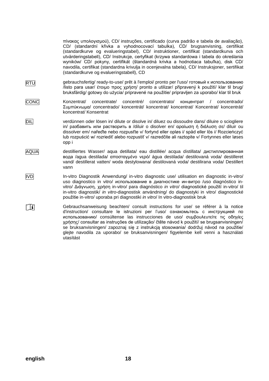πίνακας υπολογισμού), CD/ instruções, certificado (curva padrão e tabela de avaliação), CD/ (standardní křivka a vyhodnocovací tabulka), CD/ brugsanvisning, certifikat (standardkurve og evalueringstabel), CD/ instruktioner, certifikat (standardkurva och utvärderingstabell), CD/ Instrukcje, certyfikat (krzywa standardowa i tabela do określania wyników/ CD/ pokyny, certifikát (štandardná krivka a hodnotiaca tabuľka), disk CD/ navodila, certifikat (standardna krivulja in ocenjevalna tabela), CD/ Instruksjoner, sertifikat (standardkurve og evalueringstabell), CD

- RTU gebrauchsfertig/ ready-to-use/ prêt à l'emploi/ pronto per l'uso/ готовый к использованию /listo para usar/ έτοιμο προς χρήση/ pronto a utilizar/ připravený k použití/ klar til brug/ bruksfärdig/ gotowy do użycia/ pripravené na použitie/ pripravljen za uporabo/ klar til bruk
- CONC Konzentrat/ concentrate/ concentré/ concentrato/ концентрат / concentrado/ Συμπύκνωμα/ concentrado/ koncentrát/ koncentrat/ koncentrat/ Koncentrat/ koncentrát/ koncentrat/ Konsentrat
- DIL verdünnen oder lösen in/ dilute or disolve in/ diluez ou dissoudre dans/ diluire o sciogliere in/ разбавить или растворить в /diluir o disolver en/ αραίωση ή διάλυση σε/ diluir ou dissolver em/ nařeďte nebo rozpusťte v/ fortynd eller opløs i/ späd eller lös i/ Rozcieńczyć lub rozpuścić w/ rozriediť alebo rozpustiť v/ razredčite ali raztopite v/ Fortynnes eller løses opp i
- AQUA destilliertes Wasser/ aqua detillata/ eau distillée/ acqua distillata/ дистиллированная вода /agua destilada/ αποσταγμένο νερό/ água destilada/ destilovaná voda/ destilleret vand/ destillerat vatten/ woda destylowana/ destilovaná voda/ destilirana voda/ Destillert vann
- IVD In-vitro Diagnostik Anwendung/ in-vitro diagnostic use/ utilisation en diagnostic in-vitro/ uso diagnostico in vitro/ использование в диагностике ин-витро /uso diagnóstico invitro/ Διάγνωση, χρήση in-vitro/ para diagnóstico *in vitro*/ diagnostické použití in-vitro/ til in-vitro diagnostik/ *in vitro-*diagnostisk användning/ do diagnostyki in vitro/ diagnostické použitie in-vitro/ uporaba pri diagnostiki *in vitro*/ In vitro-diagnostisk bruk
- Gebrauchsanweisung beachten/ consult instructions for use/ se référer à la notice  $\Box$ d'instruction/ consultare le istruzioni per l'uso/ ознакомьтесь с инструкцией по использованию/ consúltense las instrucciones de uso/ συμβουλευτείτε τις οδηγίες χρήσης/ consultar as instruções de utilização/ čtěte návod k použití/ se brugsanvisningen/ se bruksanvisningen/ zapoznaj się z instrukcją stosowania/ dodržuj návod na použitie/ glejte navodila za uporabo/ se bruksanvisningen/ figyelembe kell venni a használati utasítást